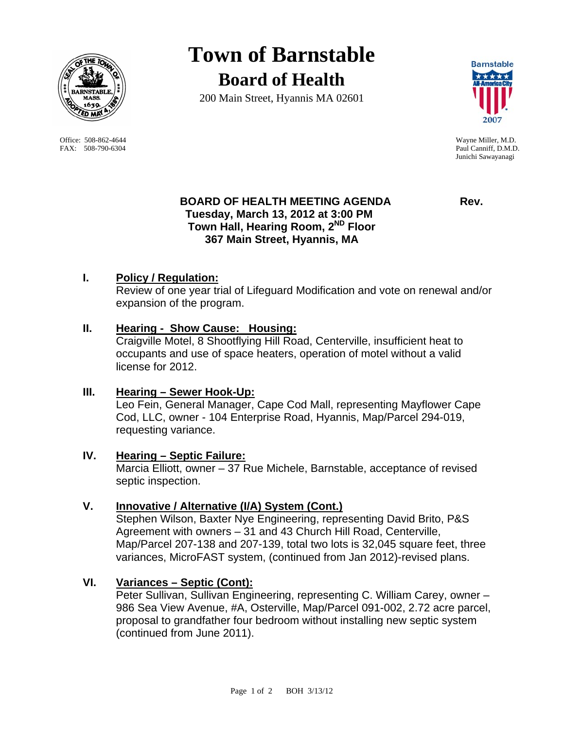

Office: 508-862-4644 Wayne Miller, M.D. FAX: 508-790-6304 Paul Canniff, D.M.D.

# **Town of Barnstable Board of Health**

200 Main Street, Hyannis MA 02601



Junichi Sawayanagi

## **BOARD OF HEALTH MEETING AGENDA Rev. Tuesday, March 13, 2012 at 3:00 PM Town Hall, Hearing Room, 2ND Floor 367 Main Street, Hyannis, MA**

## **I. Policy / Regulation:**

Review of one year trial of Lifeguard Modification and vote on renewal and/or expansion of the program.

### **II. Hearing - Show Cause: Housing:**

Craigville Motel, 8 Shootflying Hill Road, Centerville, insufficient heat to occupants and use of space heaters, operation of motel without a valid license for 2012.

### **III. Hearing – Sewer Hook-Up:**

Leo Fein, General Manager, Cape Cod Mall, representing Mayflower Cape Cod, LLC, owner - 104 Enterprise Road, Hyannis, Map/Parcel 294-019, requesting variance.

### **IV. Hearing – Septic Failure:**

Marcia Elliott, owner – 37 Rue Michele, Barnstable, acceptance of revised septic inspection.

### **V. Innovative / Alternative (I/A) System (Cont.)**

Stephen Wilson, Baxter Nye Engineering, representing David Brito, P&S Agreement with owners – 31 and 43 Church Hill Road, Centerville, Map/Parcel 207-138 and 207-139, total two lots is 32,045 square feet, three variances, MicroFAST system, (continued from Jan 2012)-revised plans.

### **VI. Variances – Septic (Cont):**

Peter Sullivan, Sullivan Engineering, representing C. William Carey, owner – 986 Sea View Avenue, #A, Osterville, Map/Parcel 091-002, 2.72 acre parcel, proposal to grandfather four bedroom without installing new septic system (continued from June 2011).